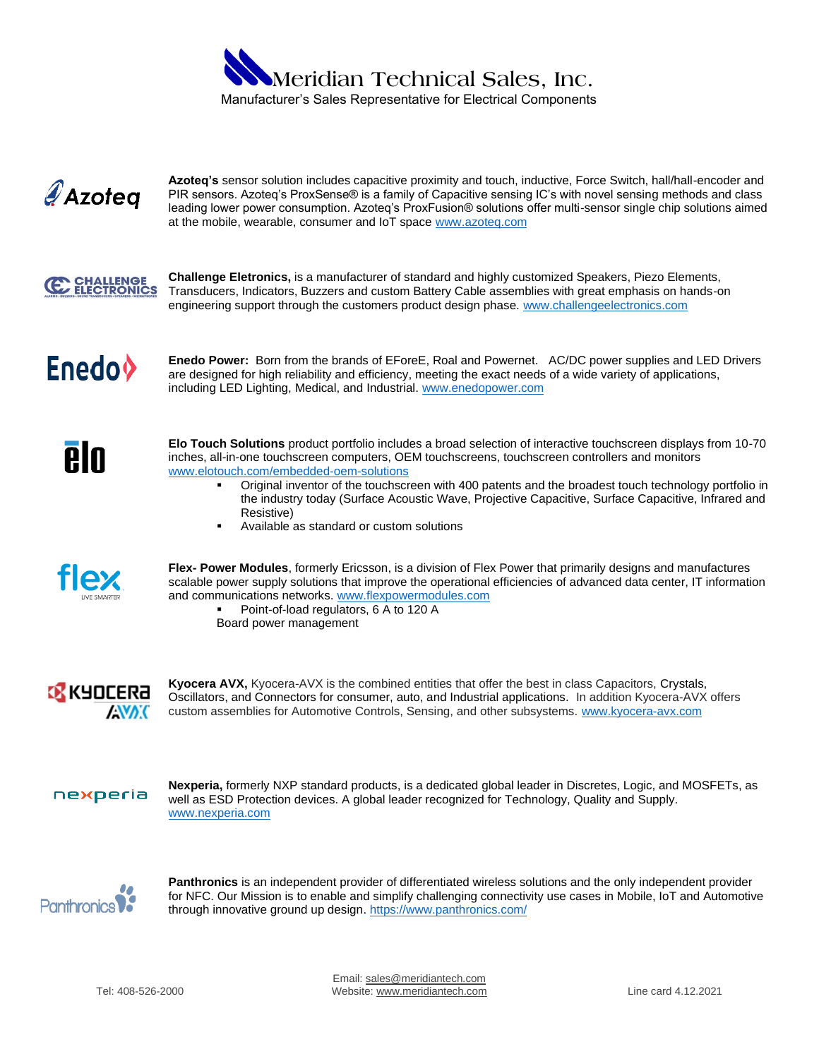



**Azoteq's** sensor solution includes capacitive proximity and touch, inductive, Force Switch, hall/hall-encoder and PIR sensors. Azoteq's ProxSense® is a family of Capacitive sensing IC's with novel sensing methods and class leading lower power consumption. Azoteq's ProxFusion® solutions offer multi-sensor single chip solutions aimed at the mobile, wearable, consumer and IoT space [www.azoteq.com](file:///C:/Users/Admin/Desktop/www.azoteq.com)



**Challenge Eletronics,** is a manufacturer of standard and highly customized Speakers, Piezo Elements, Transducers, Indicators, Buzzers and custom Battery Cable assemblies with great emphasis on hands-on engineering support through the customers product design phase. [www.challengeelectronics.com](http://www.challengeelectronics.com/)



**Enedo Power:** Born from the brands of EForeE, Roal and Powernet. AC/DC power supplies and LED Drivers are designed for high reliability and efficiency, meeting the exact needs of a wide variety of applications, including LED Lighting, Medical, and Industrial. [www.enedopower.com](file:///C:/Users/Admin/Desktop/www.enedopower.com)



**Elo Touch Solutions** product portfolio includes a broad selection of interactive touchscreen displays from 10-70 inches, all-in-one touchscreen computers, OEM touchscreens, touchscreen controllers and monitors [www.elotouch.com/](https://www.elotouch.com/)embedded-oem-solutions

- Original inventor of the touchscreen with 400 patents and the broadest touch technology portfolio in the industry today (Surface Acoustic Wave, Projective Capacitive, Surface Capacitive, Infrared and Resistive)
- Available as standard or custom solutions



**Flex- Power Modules**, formerly Ericsson, is a division of Flex Power that primarily designs and manufactures scalable power supply solutions that improve the operational efficiencies of advanced data center, IT information and communications networks. [www.flexpowermodules.](http://www.flexpowermodules/)com

Point-of-load regulators, 6 A to 120 A Board power management



**Kyocera AVX,** Kyocera-AVX is the combined entities that offer the best in class Capacitors, Crystals, Oscillators, and Connectors for consumer, auto, and Industrial applications. In addition Kyocera-AVX offers custom assemblies for Automotive Controls, Sensing, and other subsystems. [www.kyocera-avx.com](http://www.kyocera-avx.com/)

nexperia

**Nexperia,** formerly NXP standard products, is a dedicated global leader in Discretes, Logic, and MOSFETs, as well as ESD Protection devices. A global leader recognized for Technology, Quality and Supply. [www.nexperia.com](https://www.nexperia.com/)



**Panthronics** is an independent provider of differentiated wireless solutions and the only independent provider for NFC. Our Mission is to enable and simplify challenging connectivity use cases in Mobile, IoT and Automotive through innovative ground up design[. https://www.panthronics.com/](https://www.panthronics.com/)